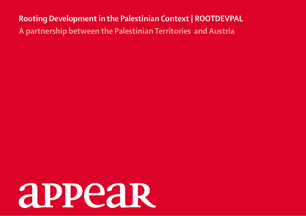**Rooting Development in the Palestinian Context | ROOTDEVPAL A partnership between the Palestinian Territories and Austria**

# appear